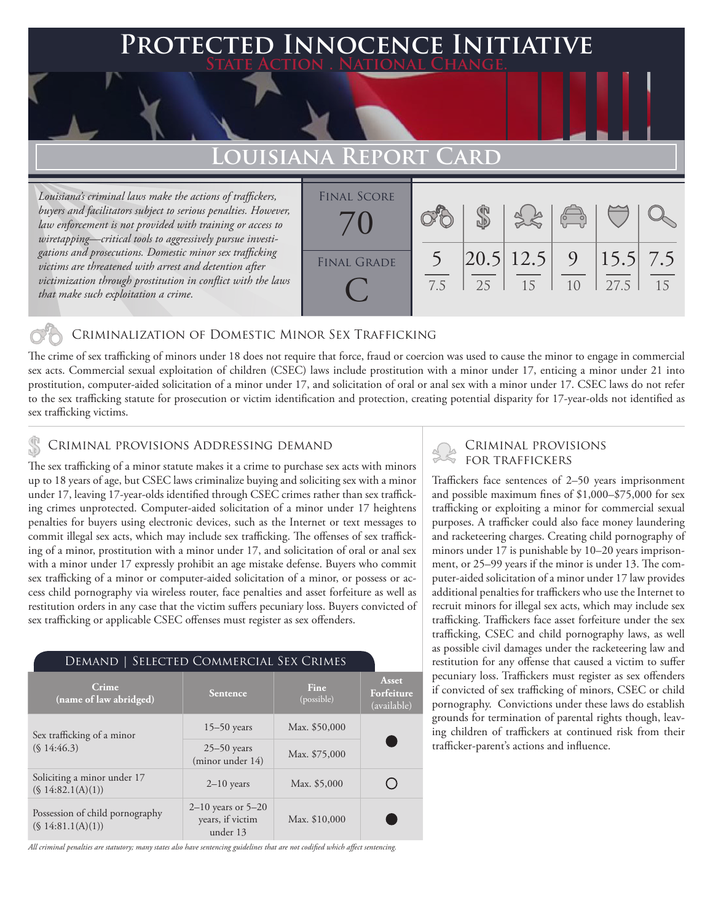## **PTED INNOCENCE INITIATIVE State Action . National Change.**

# **Louisiana Report Card**

*Louisiana's criminal laws make the actions of traffickers, buyers and facilitators subject to serious penalties. However, law enforcement is not provided with training or access to wiretapping—critical tools to aggressively pursue investigations and prosecutions. Domestic minor sex trafficking victims are threatened with arrest and detention after victimization through prostitution in conflict with the laws that make such exploitation a crime.* 



### Criminalization of Domestic Minor Sex Trafficking

The crime of sex trafficking of minors under 18 does not require that force, fraud or coercion was used to cause the minor to engage in commercial sex acts. Commercial sexual exploitation of children (CSEC) laws include prostitution with a minor under 17, enticing a minor under 21 into prostitution, computer-aided solicitation of a minor under 17, and solicitation of oral or anal sex with a minor under 17. CSEC laws do not refer to the sex trafficking statute for prosecution or victim identification and protection, creating potential disparity for 17-year-olds not identified as sex trafficking victims.

# CRIMINAL PROVISIONS ADDRESSING DEMAND<br>The car trafficking of a minor statute makes it a crime to purchase sex acts with minors FOR TRAFFICKERS

The sex trafficking of a minor statute makes it a crime to purchase sex acts with minors up to 18 years of age, but CSEC laws criminalize buying and soliciting sex with a minor under 17, leaving 17-year-olds identified through CSEC crimes rather than sex trafficking crimes unprotected. Computer-aided solicitation of a minor under 17 heightens penalties for buyers using electronic devices, such as the Internet or text messages to commit illegal sex acts, which may include sex trafficking. The offenses of sex trafficking of a minor, prostitution with a minor under 17, and solicitation of oral or anal sex with a minor under 17 expressly prohibit an age mistake defense. Buyers who commit sex trafficking of a minor or computer-aided solicitation of a minor, or possess or access child pornography via wireless router, face penalties and asset forfeiture as well as restitution orders in any case that the victim suffers pecuniary loss. Buyers convicted of sex trafficking or applicable CSEC offenses must register as sex offenders.

| DEMAND   SELECTED COMMERCIAL SEX CRIMES              |                                                        |                    |                                    |
|------------------------------------------------------|--------------------------------------------------------|--------------------|------------------------------------|
| Crime<br>(name of law abridged)                      | <b>Sentence</b>                                        | Fine<br>(possible) | Asset<br>Forfeiture<br>(available) |
| Sex trafficking of a minor<br>$(S\,14:46.3)$         | $15-50$ years                                          | Max. \$50,000      |                                    |
|                                                      | $25 - 50$ years<br>(minor under 14)                    | Max. \$75,000      |                                    |
| Soliciting a minor under 17<br>(S 14:82.1(A)(1))     | $2-10$ years                                           | Max. \$5,000       |                                    |
| Possession of child pornography<br>(S 14:81.1(A)(1)) | $2-10$ years or $5-20$<br>years, if victim<br>under 13 | Max. \$10,000      |                                    |

*All criminal penalties are statutory; many states also have sentencing guidelines that are not codified which affect sentencing.* 

Traffickers face sentences of 2–50 years imprisonment and possible maximum fines of \$1,000–\$75,000 for sex trafficking or exploiting a minor for commercial sexual purposes. A trafficker could also face money laundering and racketeering charges. Creating child pornography of minors under 17 is punishable by 10–20 years imprisonment, or 25–99 years if the minor is under 13. The computer-aided solicitation of a minor under 17 law provides additional penalties for traffickers who use the Internet to recruit minors for illegal sex acts, which may include sex trafficking. Traffickers face asset forfeiture under the sex trafficking, CSEC and child pornography laws, as well as possible civil damages under the racketeering law and restitution for any offense that caused a victim to suffer pecuniary loss. Traffickers must register as sex offenders if convicted of sex trafficking of minors, CSEC or child pornography. Convictions under these laws do establish grounds for termination of parental rights though, leaving children of traffickers at continued risk from their trafficker-parent's actions and influence.